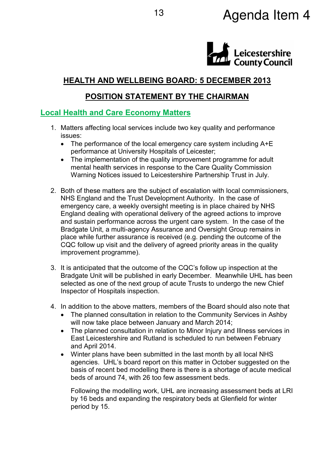# 13 **Agenda Item 4**



# **HEALTH AND WELLBEING BOARD: 5 DECEMBER 2013**

# **POSITION STATEMENT BY THE CHAIRMAN**

# **Local Health and Care Economy Matters**

- 1. Matters affecting local services include two key quality and performance issues:
	- The performance of the local emergency care system including  $A + E$ performance at University Hospitals of Leicester;
	- The implementation of the quality improvement programme for adult mental health services in response to the Care Quality Commission Warning Notices issued to Leicestershire Partnership Trust in July.
- 2. Both of these matters are the subject of escalation with local commissioners, NHS England and the Trust Development Authority. In the case of emergency care, a weekly oversight meeting is in place chaired by NHS England dealing with operational delivery of the agreed actions to improve and sustain performance across the urgent care system. In the case of the Bradgate Unit, a multi-agency Assurance and Oversight Group remains in place while further assurance is received (e.g. pending the outcome of the CQC follow up visit and the delivery of agreed priority areas in the quality improvement programme).
- 3. It is anticipated that the outcome of the CQC's follow up inspection at the Bradgate Unit will be published in early December. Meanwhile UHL has been selected as one of the next group of acute Trusts to undergo the new Chief Inspector of Hospitals inspection.
- 4. In addition to the above matters, members of the Board should also note that
	- The planned consultation in relation to the Community Services in Ashby will now take place between January and March 2014;
	- The planned consultation in relation to Minor Injury and Illness services in East Leicestershire and Rutland is scheduled to run between February and April 2014.
	- Winter plans have been submitted in the last month by all local NHS agencies. UHL's board report on this matter in October suggested on the basis of recent bed modelling there is there is a shortage of acute medical beds of around 74, with 26 too few assessment beds.

Following the modelling work, UHL are increasing assessment beds at LRI by 16 beds and expanding the respiratory beds at Glenfield for winter period by 15.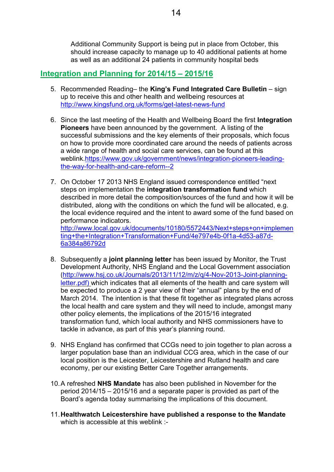Additional Community Support is being put in place from October, this should increase capacity to manage up to 40 additional patients at home as well as an additional 24 patients in community hospital beds

# **Integration and Planning for 2014/15 – 2015/16**

- 5. Recommended Reading– the **King's Fund Integrated Care Bulletin** sign up to receive this and other health and wellbeing resources at http://www.kingsfund.org.uk/forms/get-latest-news-fund
- 6. Since the last meeting of the Health and Wellbeing Board the first **Integration Pioneers** have been announced by the government. A listing of the successful submissions and the key elements of their proposals, which focus on how to provide more coordinated care around the needs of patients across a wide range of health and social care services, can be found at this weblink.https://www.gov.uk/government/news/integration-pioneers-leadingthe-way-for-health-and-care-reform--2
- 7. On October 17 2013 NHS England issued correspondence entitled "next steps on implementation the **integration transformation fund** which described in more detail the composition/sources of the fund and how it will be distributed, along with the conditions on which the fund will be allocated, e.g. the local evidence required and the intent to award some of the fund based on performance indicators.

http://www.local.gov.uk/documents/10180/5572443/Next+steps+on+implemen ting+the+Integration+Transformation+Fund/4e797e4b-0f1a-4d53-a87d-6a384a86792d

- 8. Subsequently a **joint planning letter** has been issued by Monitor, the Trust Development Authority, NHS England and the Local Government association (http://www.hsj.co.uk/Journals/2013/11/12/m/z/q/4-Nov-2013-Joint-planningletter.pdf) which indicates that all elements of the health and care system will be expected to produce a 2 year view of their "annual" plans by the end of March 2014. The intention is that these fit together as integrated plans across the local health and care system and they will need to include, amongst many other policy elements, the implications of the 2015/16 integrated transformation fund, which local authority and NHS commissioners have to tackle in advance, as part of this year's planning round.
- 9. NHS England has confirmed that CCGs need to join together to plan across a larger population base than an individual CCG area, which in the case of our local position is the Leicester, Leicestershire and Rutland health and care economy, per our existing Better Care Together arrangements.
- 10. A refreshed **NHS Mandate** has also been published in November for the period 2014/15 – 2015/16 and a separate paper is provided as part of the Board's agenda today summarising the implications of this document.
- 11. **Healthwatch Leicestershire have published a response to the Mandate** which is accessible at this weblink :-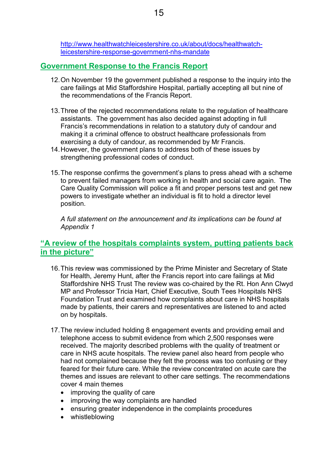http://www.healthwatchleicestershire.co.uk/about/docs/healthwatchleicestershire-response-government-nhs-mandate

# **Government Response to the Francis Report**

- 12. On November 19 the government published a response to the inquiry into the care failings at Mid Staffordshire Hospital, partially accepting all but nine of the recommendations of the Francis Report.
- 13. Three of the rejected recommendations relate to the regulation of healthcare assistants. The government has also decided against adopting in full Francis's recommendations in relation to a statutory duty of candour and making it a criminal offence to obstruct healthcare professionals from exercising a duty of candour, as recommended by Mr Francis.
- 14. However, the government plans to address both of these issues by strengthening professional codes of conduct.
- 15. The response confirms the government's plans to press ahead with a scheme to prevent failed managers from working in health and social care again. The Care Quality Commission will police a fit and proper persons test and get new powers to investigate whether an individual is fit to hold a director level position.

*A full statement on the announcement and its implications can be found at Appendix 1* 

# **"A review of the hospitals complaints system, putting patients back in the picture"**

- 16. This review was commissioned by the Prime Minister and Secretary of State for Health, Jeremy Hunt, after the Francis report into care failings at Mid Staffordshire NHS Trust The review was co-chaired by the Rt. Hon Ann Clwyd MP and Professor Tricia Hart, Chief Executive, South Tees Hospitals NHS Foundation Trust and examined how complaints about care in NHS hospitals made by patients, their carers and representatives are listened to and acted on by hospitals.
- 17. The review included holding 8 engagement events and providing email and telephone access to submit evidence from which 2,500 responses were received. The majority described problems with the quality of treatment or care in NHS acute hospitals. The review panel also heard from people who had not complained because they felt the process was too confusing or they feared for their future care. While the review concentrated on acute care the themes and issues are relevant to other care settings. The recommendations cover 4 main themes
	- improving the quality of care
	- improving the way complaints are handled
	- ensuring greater independence in the complaints procedures
	- whistleblowing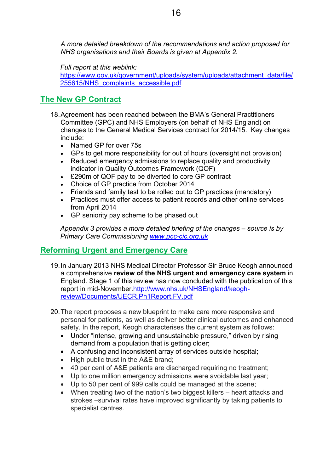*A more detailed breakdown of the recommendations and action proposed for NHS organisations and their Boards is given at Appendix 2.* 

*Full report at this weblink:* 

https://www.gov.uk/government/uploads/system/uploads/attachment\_data/file/ 255615/NHS\_complaints\_accessible.pdf

# **The New GP Contract**

- 18. Agreement has been reached between the BMA's General Practitioners Committee (GPC) and NHS Employers (on behalf of NHS England) on changes to the General Medical Services contract for 2014/15. Key changes include:
	- Named GP for over 75s
	- GPs to get more responsibility for out of hours (oversight not provision)
	- Reduced emergency admissions to replace quality and productivity indicator in Quality Outcomes Framework (QOF)
	- £290m of QOF pay to be diverted to core GP contract
	- Choice of GP practice from October 2014
	- Friends and family test to be rolled out to GP practices (mandatory)
	- Practices must offer access to patient records and other online services from April 2014
	- GP seniority pay scheme to be phased out

*Appendix 3 provides a more detailed briefing of the changes – source is by Primary Care Commissioning www.pcc-cic.org.uk*

# **Reforming Urgent and Emergency Care**

- 19. In January 2013 NHS Medical Director Professor Sir Bruce Keogh announced a comprehensive **review of the NHS urgent and emergency care system** in England. Stage 1 of this review has now concluded with the publication of this report in mid-November.http://www.nhs.uk/NHSEngland/keoghreview/Documents/UECR.Ph1Report.FV.pdf
- 20. The report proposes a new blueprint to make care more responsive and personal for patients, as well as deliver better clinical outcomes and enhanced safety. In the report, Keogh characterises the current system as follows:
	- Under "intense, growing and unsustainable pressure," driven by rising demand from a population that is getting older;
	- A confusing and inconsistent array of services outside hospital;
	- High public trust in the A&E brand:
	- 40 per cent of A&E patients are discharged requiring no treatment;
	- Up to one million emergency admissions were avoidable last year;
	- Up to 50 per cent of 999 calls could be managed at the scene;
	- When treating two of the nation's two biggest killers heart attacks and strokes –survival rates have improved significantly by taking patients to specialist centres.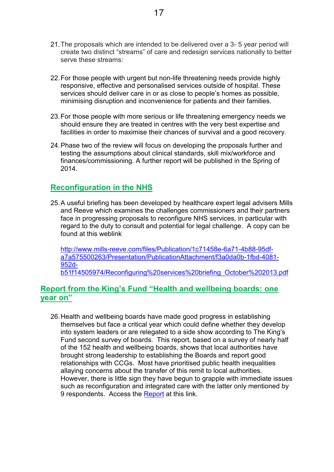- 21. The proposals which are intended to be delivered over a 3- 5 year period will create two distinct "streams" of care and redesign services nationally to better serve these streams:
- 22. For those people with urgent but non-life threatening needs provide highly responsive, effective and personalised services outside of hospital. These services should deliver care in or as close to people's homes as possible, minimising disruption and inconvenience for patients and their families.
- 23. For those people with more serious or life threatening emergency needs we should ensure they are treated in centres with the very best expertise and facilities in order to maximise their chances of survival and a good recovery.
- 24. Phase two of the review will focus on developing the proposals further and testing the assumptions about clinical standards, skill mix/workforce and finances/commissioning. A further report will be published in the Spring of 2014.

# **Reconfiguration in the NHS**

25. A useful briefing has been developed by healthcare expert legal advisers Mills and Reeve which examines the challenges commissioners and their partners face in progressing proposals to reconfigure NHS services, in particular with regard to the duty to consult and potential for legal challenge. A copy can be found at this weblink

http://www.mills-reeve.com/files/Publication/1c71458e-6a71-4b88-95dfa7a575500263/Presentation/PublicationAttachment/f3a0da0b-1fbd-4081- 952db51f14505974/Reconfiguring%20services%20briefing\_October%202013.pdf

# **Report from the King's Fund "Health and wellbeing boards: one year on"**

26. Health and wellbeing boards have made good progress in establishing themselves but face a critical year which could define whether they develop into system leaders or are relegated to a side show according to The King's Fund second survey of boards. This report, based on a survey of nearly half of the 152 health and wellbeing boards, shows that local authorities have brought strong leadership to establishing the Boards and report good relationships with CCGs. Most have prioritised public health inequalities allaying concerns about the transfer of this remit to local authorities. However, there is little sign they have begun to grapple with immediate issues such as reconfiguration and integrated care with the latter only mentioned by 9 respondents. Access the Report at this link.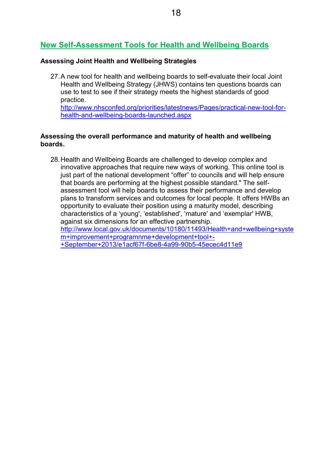# **New Self-Assessment Tools for Health and Wellbeing Boards**

#### **Assessing Joint Health and Wellbeing Strategies**

27. A new tool for health and wellbeing boards to self-evaluate their local Joint Health and Wellbeing Strategy (JHWS) contains ten questions boards can use to test to see if their strategy meets the highest standards of good practice. http://www.nhsconfed.org/priorities/latestnews/Pages/practical-new-tool-for-

health-and-wellbeing-boards-launched.aspx

#### **Assessing the overall performance and maturity of health and wellbeing boards.**

28. Health and Wellbeing Boards are challenged to develop complex and innovative approaches that require new ways of working. This online tool is just part of the national development "offer" to councils and will help ensure that boards are performing at the highest possible standard." The selfassessment tool will help boards to assess their performance and develop plans to transform services and outcomes for local people. It offers HWBs an opportunity to evaluate their position using a maturity model, describing characteristics of a 'young', 'established', 'mature' and 'exemplar' HWB, against six dimensions for an effective partnership. http://www.local.gov.uk/documents/10180/11493/Health+and+wellbeing+syste m+improvement+programnme+development+tool+- +September+2013/e1acf67f-6be8-4a99-90b5-45ecec4d11e9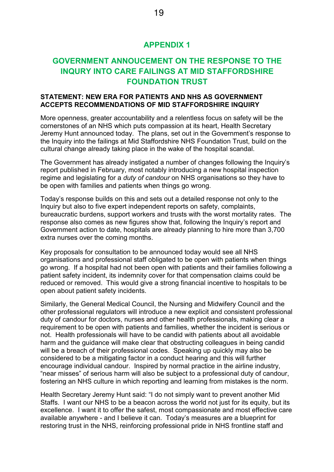# **APPENDIX 1**

# **GOVERNMENT ANNOUCEMENT ON THE RESPONSE TO THE INQURY INTO CARE FAILINGS AT MID STAFFORDSHIRE FOUNDATION TRUST**

#### **STATEMENT: NEW ERA FOR PATIENTS AND NHS AS GOVERNMENT ACCEPTS RECOMMENDATIONS OF MID STAFFORDSHIRE INQUIRY**

More openness, greater accountability and a relentless focus on safety will be the cornerstones of an NHS which puts compassion at its heart, Health Secretary Jeremy Hunt announced today. The plans, set out in the Government's response to the Inquiry into the failings at Mid Staffordshire NHS Foundation Trust, build on the cultural change already taking place in the wake of the hospital scandal.

The Government has already instigated a number of changes following the Inquiry's report published in February, most notably introducing a new hospital inspection regime and legislating for a *duty of candour* on NHS organisations so they have to be open with families and patients when things go wrong.

Today's response builds on this and sets out a detailed response not only to the Inquiry but also to five expert independent reports on safety, complaints, bureaucratic burdens, support workers and trusts with the worst mortality rates. The response also comes as new figures show that, following the Inquiry's report and Government action to date, hospitals are already planning to hire more than 3,700 extra nurses over the coming months.

Key proposals for consultation to be announced today would see all NHS organisations and professional staff obligated to be open with patients when things go wrong. If a hospital had not been open with patients and their families following a patient safety incident, its indemnity cover for that compensation claims could be reduced or removed. This would give a strong financial incentive to hospitals to be open about patient safety incidents.

Similarly, the General Medical Council, the Nursing and Midwifery Council and the other professional regulators will introduce a new explicit and consistent professional duty of candour for doctors, nurses and other health professionals, making clear a requirement to be open with patients and families, whether the incident is serious or not. Health professionals will have to be candid with patients about all avoidable harm and the guidance will make clear that obstructing colleagues in being candid will be a breach of their professional codes. Speaking up quickly may also be considered to be a mitigating factor in a conduct hearing and this will further encourage individual candour. Inspired by normal practice in the airline industry, "near misses" of serious harm will also be subject to a professional duty of candour, fostering an NHS culture in which reporting and learning from mistakes is the norm.

Health Secretary Jeremy Hunt said: "I do not simply want to prevent another Mid Staffs. I want our NHS to be a beacon across the world not just for its equity, but its excellence. I want it to offer the safest, most compassionate and most effective care available anywhere - and I believe it can. Today's measures are a blueprint for restoring trust in the NHS, reinforcing professional pride in NHS frontline staff and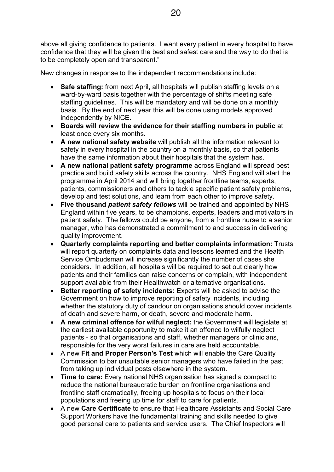above all giving confidence to patients. I want every patient in every hospital to have confidence that they will be given the best and safest care and the way to do that is to be completely open and transparent."

New changes in response to the independent recommendations include:

- **Safe staffing:** from next April, all hospitals will publish staffing levels on a ward-by-ward basis together with the percentage of shifts meeting safe staffing guidelines. This will be mandatory and will be done on a monthly basis. By the end of next year this will be done using models approved independently by NICE.
- **Boards will review the evidence for their staffing numbers in public** at least once every six months.
- **A new national safety website** will publish all the information relevant to safety in every hospital in the country on a monthly basis, so that patients have the same information about their hospitals that the system has.
- **A new national patient safety programme** across England will spread best practice and build safety skills across the country. NHS England will start the programme in April 2014 and will bring together frontline teams, experts, patients, commissioners and others to tackle specific patient safety problems, develop and test solutions, and learn from each other to improve safety.
- **Five thousand** *patient safety fellows* will be trained and appointed by NHS England within five years, to be champions, experts, leaders and motivators in patient safety. The fellows could be anyone, from a frontline nurse to a senior manager, who has demonstrated a commitment to and success in delivering quality improvement.
- **Quarterly complaints reporting and better complaints information:** Trusts will report quarterly on complaints data and lessons learned and the Health Service Ombudsman will increase significantly the number of cases she considers. In addition, all hospitals will be required to set out clearly how patients and their families can raise concerns or complain, with independent support available from their Healthwatch or alternative organisations.
- **Better reporting of safety incidents:** Experts will be asked to advise the Government on how to improve reporting of safety incidents, including whether the statutory duty of candour on organisations should cover incidents of death and severe harm, or death, severe and moderate harm.
- **A new criminal offence for wilful neglect:** the Government will legislate at the earliest available opportunity to make it an offence to wilfully neglect patients - so that organisations and staff, whether managers or clinicians, responsible for the very worst failures in care are held accountable.
- A new **Fit and Proper Person's Test** which will enable the Care Quality Commission to bar unsuitable senior managers who have failed in the past from taking up individual posts elsewhere in the system.
- **Time to care:** Every national NHS organisation has signed a compact to reduce the national bureaucratic burden on frontline organisations and frontline staff dramatically, freeing up hospitals to focus on their local populations and freeing up time for staff to care for patients.
- A new **Care Certificate** to ensure that Healthcare Assistants and Social Care Support Workers have the fundamental training and skills needed to give good personal care to patients and service users. The Chief Inspectors will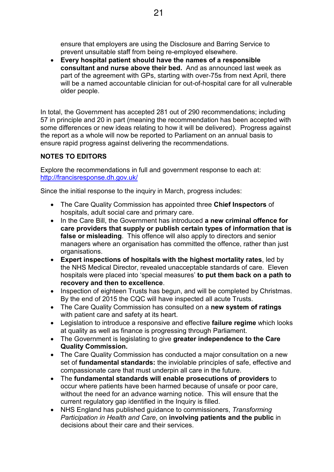ensure that employers are using the Disclosure and Barring Service to prevent unsuitable staff from being re-employed elsewhere.

• **Every hospital patient should have the names of a responsible consultant and nurse above their bed.** And as announced last week as part of the agreement with GPs, starting with over-75s from next April, there will be a named accountable clinician for out-of-hospital care for all vulnerable older people.

In total, the Government has accepted 281 out of 290 recommendations; including 57 in principle and 20 in part (meaning the recommendation has been accepted with some differences or new ideas relating to how it will be delivered). Progress against the report as a whole will now be reported to Parliament on an annual basis to ensure rapid progress against delivering the recommendations.

## **NOTES TO EDITORS**

Explore the recommendations in full and government response to each at: http://francisresponse.dh.gov.uk/

Since the initial response to the inquiry in March, progress includes:

- The Care Quality Commission has appointed three **Chief Inspectors** of hospitals, adult social care and primary care.
- In the Care Bill, the Government has introduced **a new criminal offence for care providers that supply or publish certain types of information that is false or misleading**. This offence will also apply to directors and senior managers where an organisation has committed the offence, rather than just organisations.
- **Expert inspections of hospitals with the highest mortality rates**, led by the NHS Medical Director, revealed unacceptable standards of care. Eleven hospitals were placed into 'special measures' **to put them back on a path to recovery and then to excellence**.
- Inspection of eighteen Trusts has begun, and will be completed by Christmas. By the end of 2015 the CQC will have inspected all acute Trusts.
- The Care Quality Commission has consulted on a **new system of ratings** with patient care and safety at its heart.
- Legislation to introduce a responsive and effective **failure regime** which looks at quality as well as finance is progressing through Parliament.
- The Government is legislating to give **greater independence to the Care Quality Commission.**
- The Care Quality Commission has conducted a major consultation on a new set of **fundamental standards:** the inviolable principles of safe, effective and compassionate care that must underpin all care in the future.
- The **fundamental standards will enable prosecutions of providers** to occur where patients have been harmed because of unsafe or poor care, without the need for an advance warning notice. This will ensure that the current regulatory gap identified in the Inquiry is filled.
- NHS England has published guidance to commissioners, *Transforming Participation in Health and Care*, on **involving patients and the public** in decisions about their care and their services.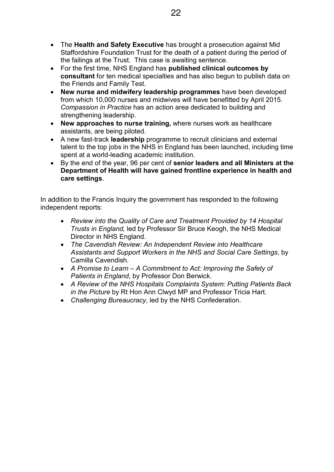- The **Health and Safety Executive** has brought a prosecution against Mid Staffordshire Foundation Trust for the death of a patient during the period of the failings at the Trust. This case is awaiting sentence.
- For the first time, NHS England has **published clinical outcomes by consultant** for ten medical specialties and has also begun to publish data on the Friends and Family Test.
- **New nurse and midwifery leadership programmes** have been developed from which 10,000 nurses and midwives will have benefitted by April 2015. *Compassion in Practice* has an action area dedicated to building and strengthening leadership.
- **New approaches to nurse training,** where nurses work as healthcare assistants, are being piloted.
- A new fast-track **leadership** programme to recruit clinicians and external talent to the top jobs in the NHS in England has been launched, including time spent at a world-leading academic institution.
- By the end of the year, 96 per cent of **senior leaders and all Ministers at the Department of Health will have gained frontline experience in health and care settings**.

In addition to the Francis Inquiry the government has responded to the following independent reports:

- *Review into the Quality of Care and Treatment Provided by 14 Hospital Trusts in England,* led by Professor Sir Bruce Keogh, the NHS Medical Director in NHS England.
- *The Cavendish Review: An Independent Review into Healthcare Assistants and Support Workers in the NHS and Social Care Settings*, by Camilla Cavendish.
- *A Promise to Learn A Commitment to Act: Improving the Safety of Patients in England*, by Professor Don Berwick.
- *A Review of the NHS Hospitals Complaints System: Putting Patients Back in the Picture* by Rt Hon Ann Clwyd MP and Professor Tricia Hart.
- *Challenging Bureaucracy*, led by the NHS Confederation.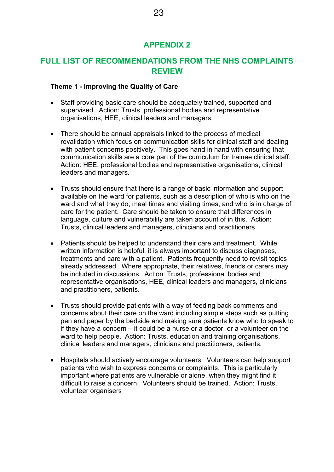# **APPENDIX 2**

# **FULL LIST OF RECOMMENDATIONS FROM THE NHS COMPLAINTS REVIEW**

#### **Theme 1 - Improving the Quality of Care**

- Staff providing basic care should be adequately trained, supported and supervised. Action: Trusts, professional bodies and representative organisations, HEE, clinical leaders and managers.
- There should be annual appraisals linked to the process of medical revalidation which focus on communication skills for clinical staff and dealing with patient concerns positively. This goes hand in hand with ensuring that communication skills are a core part of the curriculum for trainee clinical staff. Action: HEE, professional bodies and representative organisations, clinical leaders and managers.
- Trusts should ensure that there is a range of basic information and support available on the ward for patients, such as a description of who is who on the ward and what they do; meal times and visiting times; and who is in charge of care for the patient. Care should be taken to ensure that differences in language, culture and vulnerability are taken account of in this. Action: Trusts, clinical leaders and managers, clinicians and practitioners
- Patients should be helped to understand their care and treatment. While written information is helpful, it is always important to discuss diagnoses, treatments and care with a patient. Patients frequently need to revisit topics already addressed. Where appropriate, their relatives, friends or carers may be included in discussions. Action: Trusts, professional bodies and representative organisations, HEE, clinical leaders and managers, clinicians and practitioners, patients.
- Trusts should provide patients with a way of feeding back comments and concerns about their care on the ward including simple steps such as putting pen and paper by the bedside and making sure patients know who to speak to if they have a concern – it could be a nurse or a doctor, or a volunteer on the ward to help people. Action: Trusts, education and training organisations, clinical leaders and managers, clinicians and practitioners, patients.
- Hospitals should actively encourage volunteers. Volunteers can help support patients who wish to express concerns or complaints. This is particularly important where patients are vulnerable or alone, when they might find it difficult to raise a concern. Volunteers should be trained. Action: Trusts, volunteer organisers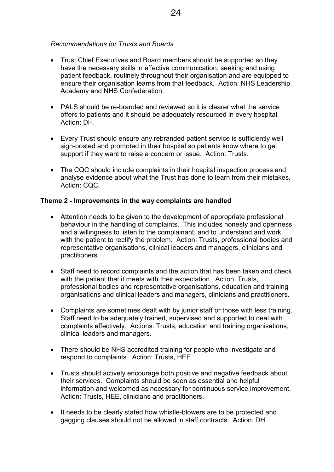#### *Recommendations for Trusts and Boards*

- Trust Chief Executives and Board members should be supported so they have the necessary skills in effective communication, seeking and using patient feedback, routinely throughout their organisation and are equipped to ensure their organisation learns from that feedback. Action: NHS Leadership Academy and NHS Confederation.
- PALS should be re-branded and reviewed so it is clearer what the service offers to patients and it should be adequately resourced in every hospital. Action: DH.
- Every Trust should ensure any rebranded patient service is sufficiently well sign-posted and promoted in their hospital so patients know where to get support if they want to raise a concern or issue. Action: Trusts.
- The CQC should include complaints in their hospital inspection process and analyse evidence about what the Trust has done to learn from their mistakes. Action: CQC.

#### **Theme 2 - Improvements in the way complaints are handled**

- Attention needs to be given to the development of appropriate professional behaviour in the handling of complaints. This includes honesty and openness and a willingness to listen to the complainant, and to understand and work with the patient to rectify the problem. Action: Trusts, professional bodies and representative organisations, clinical leaders and managers, clinicians and practitioners.
- Staff need to record complaints and the action that has been taken and check with the patient that it meets with their expectation. Action: Trusts, professional bodies and representative organisations, education and training organisations and clinical leaders and managers, clinicians and practitioners.
- Complaints are sometimes dealt with by junior staff or those with less training. Staff need to be adequately trained, supervised and supported to deal with complaints effectively. Actions: Trusts, education and training organisations, clinical leaders and managers.
- There should be NHS accredited training for people who investigate and respond to complaints. Action: Trusts, HEE.
- Trusts should actively encourage both positive and negative feedback about their services. Complaints should be seen as essential and helpful information and welcomed as necessary for continuous service improvement. Action: Trusts, HEE, clinicians and practitioners.
- It needs to be clearly stated how whistle-blowers are to be protected and gagging clauses should not be allowed in staff contracts. Action: DH.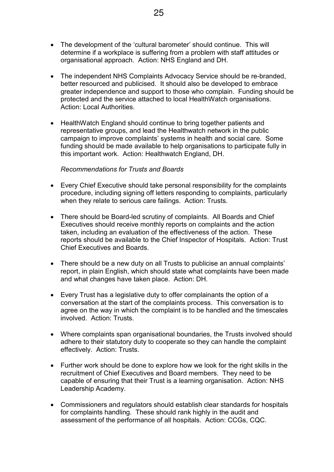- The development of the 'cultural barometer' should continue. This will determine if a workplace is suffering from a problem with staff attitudes or organisational approach. Action: NHS England and DH.
- The independent NHS Complaints Advocacy Service should be re-branded, better resourced and publicised. It should also be developed to embrace greater independence and support to those who complain. Funding should be protected and the service attached to local HealthWatch organisations. Action: Local Authorities.
- HealthWatch England should continue to bring together patients and representative groups, and lead the Healthwatch network in the public campaign to improve complaints' systems in health and social care. Some funding should be made available to help organisations to participate fully in this important work. Action: Healthwatch England, DH.

#### *Recommendations for Trusts and Boards*

- Every Chief Executive should take personal responsibility for the complaints procedure, including signing off letters responding to complaints, particularly when they relate to serious care failings. Action: Trusts.
- There should be Board-led scrutiny of complaints. All Boards and Chief Executives should receive monthly reports on complaints and the action taken, including an evaluation of the effectiveness of the action. These reports should be available to the Chief Inspector of Hospitals. Action: Trust Chief Executives and Boards.
- There should be a new duty on all Trusts to publicise an annual complaints' report, in plain English, which should state what complaints have been made and what changes have taken place. Action: DH.
- Every Trust has a legislative duty to offer complainants the option of a conversation at the start of the complaints process. This conversation is to agree on the way in which the complaint is to be handled and the timescales involved. Action: Trusts.
- Where complaints span organisational boundaries, the Trusts involved should adhere to their statutory duty to cooperate so they can handle the complaint effectively. Action: Trusts.
- Further work should be done to explore how we look for the right skills in the recruitment of Chief Executives and Board members. They need to be capable of ensuring that their Trust is a learning organisation. Action: NHS Leadership Academy.
- Commissioners and regulators should establish clear standards for hospitals for complaints handling. These should rank highly in the audit and assessment of the performance of all hospitals. Action: CCGs, CQC.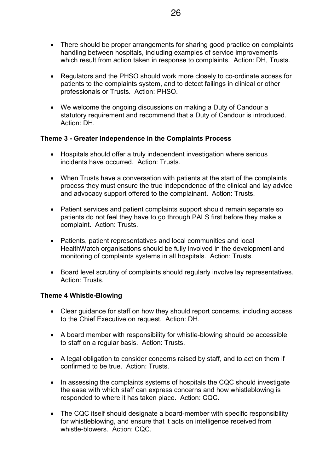- There should be proper arrangements for sharing good practice on complaints handling between hospitals, including examples of service improvements which result from action taken in response to complaints. Action: DH, Trusts.
- Regulators and the PHSO should work more closely to co-ordinate access for patients to the complaints system, and to detect failings in clinical or other professionals or Trusts. Action: PHSO.
- We welcome the ongoing discussions on making a Duty of Candour a statutory requirement and recommend that a Duty of Candour is introduced. Action: DH.

## **Theme 3 - Greater Independence in the Complaints Process**

- Hospitals should offer a truly independent investigation where serious incidents have occurred. Action: Trusts.
- When Trusts have a conversation with patients at the start of the complaints process they must ensure the true independence of the clinical and lay advice and advocacy support offered to the complainant. Action: Trusts.
- Patient services and patient complaints support should remain separate so patients do not feel they have to go through PALS first before they make a complaint. Action: Trusts.
- Patients, patient representatives and local communities and local HealthWatch organisations should be fully involved in the development and monitoring of complaints systems in all hospitals. Action: Trusts.
- Board level scrutiny of complaints should regularly involve lay representatives. Action: Trusts.

#### **Theme 4 Whistle-Blowing**

- Clear guidance for staff on how they should report concerns, including access to the Chief Executive on request. Action: DH.
- A board member with responsibility for whistle-blowing should be accessible to staff on a regular basis. Action: Trusts.
- A legal obligation to consider concerns raised by staff, and to act on them if confirmed to be true. Action: Trusts.
- In assessing the complaints systems of hospitals the CQC should investigate the ease with which staff can express concerns and how whistleblowing is responded to where it has taken place. Action: CQC.
- The CQC itself should designate a board-member with specific responsibility for whistleblowing, and ensure that it acts on intelligence received from whistle-blowers. Action: CQC.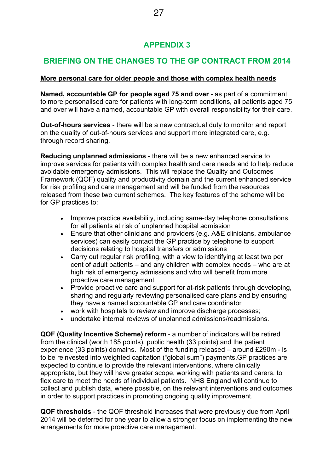# **APPENDIX 3**

# **BRIEFING ON THE CHANGES TO THE GP CONTRACT FROM 2014**

## **More personal care for older people and those with complex health needs**

**Named, accountable GP for people aged 75 and over** - as part of a commitment to more personalised care for patients with long-term conditions, all patients aged 75 and over will have a named, accountable GP with overall responsibility for their care.

**Out-of-hours services** - there will be a new contractual duty to monitor and report on the quality of out-of-hours services and support more integrated care, e.g. through record sharing.

**Reducing unplanned admissions** - there will be a new enhanced service to improve services for patients with complex health and care needs and to help reduce avoidable emergency admissions. This will replace the Quality and Outcomes Framework (QOF) quality and productivity domain and the current enhanced service for risk profiling and care management and will be funded from the resources released from these two current schemes. The key features of the scheme will be for GP practices to:

- Improve practice availability, including same-day telephone consultations, for all patients at risk of unplanned hospital admission
- Ensure that other clinicians and providers (e.g. A&E clinicians, ambulance services) can easily contact the GP practice by telephone to support decisions relating to hospital transfers or admissions
- Carry out regular risk profiling, with a view to identifying at least two per cent of adult patients – and any children with complex needs – who are at high risk of emergency admissions and who will benefit from more proactive care management
- Provide proactive care and support for at-risk patients through developing, sharing and regularly reviewing personalised care plans and by ensuring they have a named accountable GP and care coordinator
- work with hospitals to review and improve discharge processes:
- undertake internal reviews of unplanned admissions/readmissions.

**QOF (Quality Incentive Scheme) reform** - a number of indicators will be retired from the clinical (worth 185 points), public health (33 points) and the patient experience (33 points) domains. Most of the funding released – around £290m - is to be reinvested into weighted capitation ("global sum") payments.GP practices are expected to continue to provide the relevant interventions, where clinically appropriate, but they will have greater scope, working with patients and carers, to flex care to meet the needs of individual patients. NHS England will continue to collect and publish data, where possible, on the relevant interventions and outcomes in order to support practices in promoting ongoing quality improvement.

**QOF thresholds** - the QOF threshold increases that were previously due from April 2014 will be deferred for one year to allow a stronger focus on implementing the new arrangements for more proactive care management.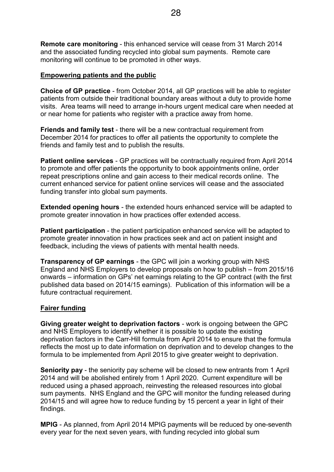**Remote care monitoring** - this enhanced service will cease from 31 March 2014 and the associated funding recycled into global sum payments. Remote care monitoring will continue to be promoted in other ways.

#### **Empowering patients and the public**

**Choice of GP practice** - from October 2014, all GP practices will be able to register patients from outside their traditional boundary areas without a duty to provide home visits. Area teams will need to arrange in-hours urgent medical care when needed at or near home for patients who register with a practice away from home.

**Friends and family test** - there will be a new contractual requirement from December 2014 for practices to offer all patients the opportunity to complete the friends and family test and to publish the results.

**Patient online services** - GP practices will be contractually required from April 2014 to promote and offer patients the opportunity to book appointments online, order repeat prescriptions online and gain access to their medical records online. The current enhanced service for patient online services will cease and the associated funding transfer into global sum payments.

**Extended opening hours** - the extended hours enhanced service will be adapted to promote greater innovation in how practices offer extended access.

**Patient participation** - the patient participation enhanced service will be adapted to promote greater innovation in how practices seek and act on patient insight and feedback, including the views of patients with mental health needs.

**Transparency of GP earnings** - the GPC will join a working group with NHS England and NHS Employers to develop proposals on how to publish – from 2015/16 onwards – information on GPs' net earnings relating to the GP contract (with the first published data based on 2014/15 earnings). Publication of this information will be a future contractual requirement.

#### **Fairer funding**

**Giving greater weight to deprivation factors** - work is ongoing between the GPC and NHS Employers to identify whether it is possible to update the existing deprivation factors in the Carr-Hill formula from April 2014 to ensure that the formula reflects the most up to date information on deprivation and to develop changes to the formula to be implemented from April 2015 to give greater weight to deprivation.

**Seniority pay** - the seniority pay scheme will be closed to new entrants from 1 April 2014 and will be abolished entirely from 1 April 2020. Current expenditure will be reduced using a phased approach, reinvesting the released resources into global sum payments. NHS England and the GPC will monitor the funding released during 2014/15 and will agree how to reduce funding by 15 percent a year in light of their findings.

**MPIG** - As planned, from April 2014 MPIG payments will be reduced by one-seventh every year for the next seven years, with funding recycled into global sum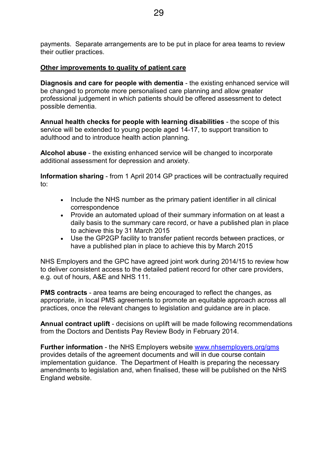payments. Separate arrangements are to be put in place for area teams to review their outlier practices.

#### **Other improvements to quality of patient care**

**Diagnosis and care for people with dementia** - the existing enhanced service will be changed to promote more personalised care planning and allow greater professional judgement in which patients should be offered assessment to detect possible dementia.

**Annual health checks for people with learning disabilities** - the scope of this service will be extended to young people aged 14-17, to support transition to adulthood and to introduce health action planning.

**Alcohol abuse** - the existing enhanced service will be changed to incorporate additional assessment for depression and anxiety.

**Information sharing** - from 1 April 2014 GP practices will be contractually required to:

- Include the NHS number as the primary patient identifier in all clinical correspondence
- Provide an automated upload of their summary information on at least a daily basis to the summary care record, or have a published plan in place to achieve this by 31 March 2015
- Use the GP2GP facility to transfer patient records between practices, or have a published plan in place to achieve this by March 2015

NHS Employers and the GPC have agreed joint work during 2014/15 to review how to deliver consistent access to the detailed patient record for other care providers, e.g. out of hours, A&E and NHS 111.

**PMS contracts** - area teams are being encouraged to reflect the changes, as appropriate, in local PMS agreements to promote an equitable approach across all practices, once the relevant changes to legislation and guidance are in place.

**Annual contract uplift** - decisions on uplift will be made following recommendations from the Doctors and Dentists Pay Review Body in February 2014.

**Further information** - the NHS Employers website www.nhsemployers.org/gms provides details of the agreement documents and will in due course contain implementation guidance. The Department of Health is preparing the necessary amendments to legislation and, when finalised, these will be published on the NHS England website.